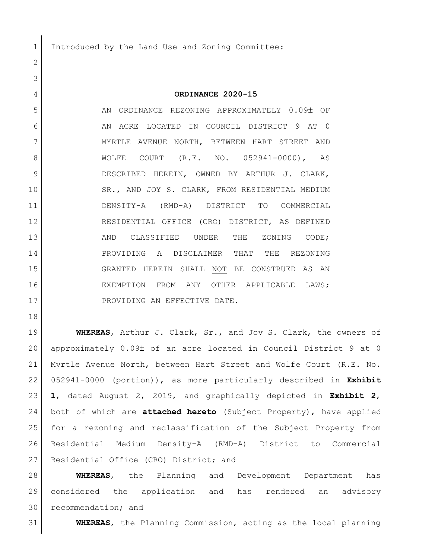1 Introduced by the Land Use and Zoning Committee:

## **ORDINANCE 2020-15**

5 AN ORDINANCE REZONING APPROXIMATELY 0.09± OF AN ACRE LOCATED IN COUNCIL DISTRICT 9 AT 0 7 MYRTLE AVENUE NORTH, BETWEEN HART STREET AND WOLFE COURT (R.E. NO. 052941-0000), AS DESCRIBED HEREIN, OWNED BY ARTHUR J. CLARK, 10 SR., AND JOY S. CLARK, FROM RESIDENTIAL MEDIUM DENSITY-A (RMD-A) DISTRICT TO COMMERCIAL RESIDENTIAL OFFICE (CRO) DISTRICT, AS DEFINED 13 AND CLASSIFIED UNDER THE ZONING CODE; PROVIDING A DISCLAIMER THAT THE REZONING GRANTED HEREIN SHALL NOT BE CONSTRUED AS AN EXEMPTION FROM ANY OTHER APPLICABLE LAWS; 17 PROVIDING AN EFFECTIVE DATE.

 **WHEREAS**, Arthur J. Clark, Sr., and Joy S. Clark, the owners of 20 approximately  $0.09\pm$  of an acre located in Council District 9 at 0 Myrtle Avenue North, between Hart Street and Wolfe Court (R.E. No. 052941-0000 (portion)), as more particularly described in **Exhibit 1**, dated August 2, 2019, and graphically depicted in **Exhibit 2**, both of which are **attached hereto** (Subject Property), have applied for a rezoning and reclassification of the Subject Property from Residential Medium Density-A (RMD-A) District to Commercial 27 Residential Office (CRO) District; and

 **WHEREAS**, the Planning and Development Department has considered the application and has rendered an advisory recommendation; and

**WHEREAS**, the Planning Commission, acting as the local planning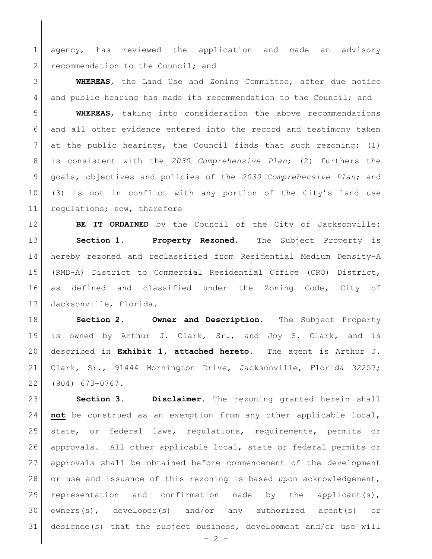agency, has reviewed the application and made an advisory 2 recommendation to the Council; and

 **WHEREAS**, the Land Use and Zoning Committee, after due notice 4 and public hearing has made its recommendation to the Council; and

 **WHEREAS**, taking into consideration the above recommendations and all other evidence entered into the record and testimony taken at the public hearings, the Council finds that such rezoning: (1) is consistent with the *2030 Comprehensive Plan*; (2) furthers the goals, objectives and policies of the *2030 Comprehensive Plan*; and (3) is not in conflict with any portion of the City's land use 11 regulations; now, therefore

**BE IT ORDAINED** by the Council of the City of Jacksonville: **Section 1. Property Rezoned.** The Subject Property is hereby rezoned and reclassified from Residential Medium Density-A (RMD-A) District to Commercial Residential Office (CRO) District, as defined and classified under the Zoning Code, City of Jacksonville, Florida.

 **Section 2. Owner and Description.** The Subject Property is owned by Arthur J. Clark, Sr., and Joy S. Clark, and is described in **Exhibit 1, attached hereto.** The agent is Arthur J. Clark, Sr., 91444 Mornington Drive, Jacksonville, Florida 32257; (904) 673-0767.

 **Section 3. Disclaimer.** The rezoning granted herein shall **not** be construed as an exemption from any other applicable local, state, or federal laws, regulations, requirements, permits or approvals. All other applicable local, state or federal permits or approvals shall be obtained before commencement of the development 28 or use and issuance of this rezoning is based upon acknowledgement, representation and confirmation made by the applicant(s), owners(s), developer(s) and/or any authorized agent(s) or designee(s) that the subject business, development and/or use will

 $-2 -$